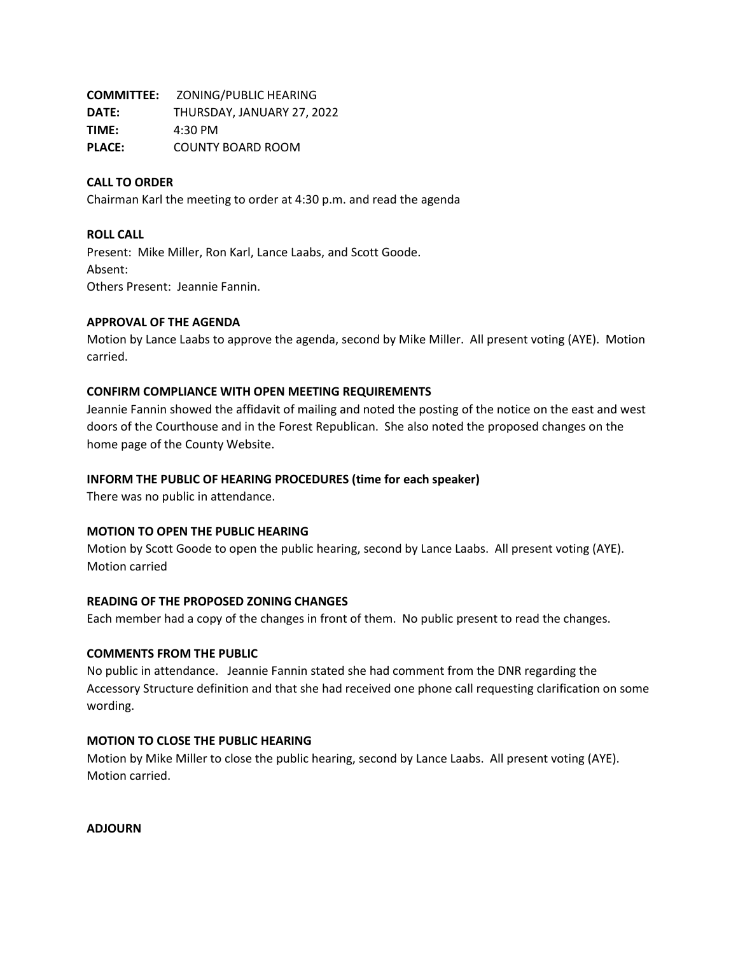| <b>COMMITTEE:</b> | ZONING/PUBLIC HEARING      |
|-------------------|----------------------------|
| <b>DATE:</b>      | THURSDAY, JANUARY 27, 2022 |
| TIME:             | $4:30$ PM                  |
| <b>PLACE:</b>     | <b>COUNTY BOARD ROOM</b>   |

## **CALL TO ORDER**

Chairman Karl the meeting to order at 4:30 p.m. and read the agenda

## **ROLL CALL**

Present: Mike Miller, Ron Karl, Lance Laabs, and Scott Goode. Absent: Others Present: Jeannie Fannin.

## **APPROVAL OF THE AGENDA**

Motion by Lance Laabs to approve the agenda, second by Mike Miller. All present voting (AYE). Motion carried.

## **CONFIRM COMPLIANCE WITH OPEN MEETING REQUIREMENTS**

Jeannie Fannin showed the affidavit of mailing and noted the posting of the notice on the east and west doors of the Courthouse and in the Forest Republican. She also noted the proposed changes on the home page of the County Website.

## **INFORM THE PUBLIC OF HEARING PROCEDURES (time for each speaker)**

There was no public in attendance.

### **MOTION TO OPEN THE PUBLIC HEARING**

Motion by Scott Goode to open the public hearing, second by Lance Laabs. All present voting (AYE). Motion carried

### **READING OF THE PROPOSED ZONING CHANGES**

Each member had a copy of the changes in front of them. No public present to read the changes.

### **COMMENTS FROM THE PUBLIC**

No public in attendance. Jeannie Fannin stated she had comment from the DNR regarding the Accessory Structure definition and that she had received one phone call requesting clarification on some wording.

# **MOTION TO CLOSE THE PUBLIC HEARING**

Motion by Mike Miller to close the public hearing, second by Lance Laabs. All present voting (AYE). Motion carried.

**ADJOURN**